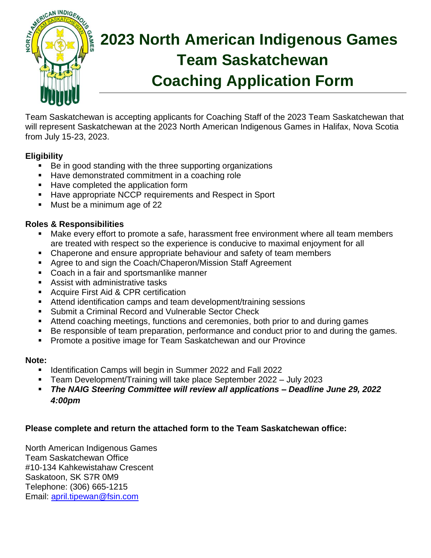

# **2023 North American Indigenous Games Team Saskatchewan Coaching Application Form**

Team Saskatchewan is accepting applicants for Coaching Staff of the 2023 Team Saskatchewan that will represent Saskatchewan at the 2023 North American Indigenous Games in Halifax, Nova Scotia from July 15-23, 2023.

#### **Eligibility**

- Be in good standing with the three supporting organizations
- Have demonstrated commitment in a coaching role
- Have completed the application form
- Have appropriate NCCP requirements and Respect in Sport
- Must be a minimum age of 22

#### **Roles & Responsibilities**

- Make every effort to promote a safe, harassment free environment where all team members are treated with respect so the experience is conducive to maximal enjoyment for all
- Chaperone and ensure appropriate behaviour and safety of team members
- Agree to and sign the Coach/Chaperon/Mission Staff Agreement
- Coach in a fair and sportsmanlike manner
- Assist with administrative tasks
- **Acquire First Aid & CPR certification**
- Attend identification camps and team development/training sessions
- **Submit a Criminal Record and Vulnerable Sector Check**
- Attend coaching meetings, functions and ceremonies, both prior to and during games
- Be responsible of team preparation, performance and conduct prior to and during the games.
- Promote a positive image for Team Saskatchewan and our Province

#### **Note:**

- Identification Camps will begin in Summer 2022 and Fall 2022
- Team Development/Training will take place September 2022 July 2023
- *The NAIG Steering Committee will review all applications – Deadline June 29, 2022 4:00pm*

#### **Please complete and return the attached form to the Team Saskatchewan office:**

North American Indigenous Games Team Saskatchewan Office #10-134 Kahkewistahaw Crescent Saskatoon, SK S7R 0M9 Telephone: (306) 665-1215 Email: [april.tipewan@fsin.com](mailto:april.tipewan@fsin.com)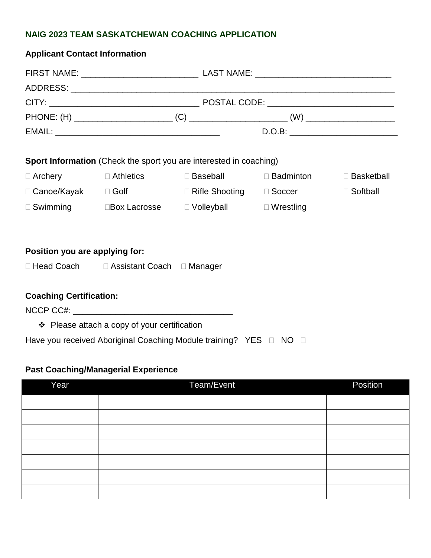#### **NAIG 2023 TEAM SASKATCHEWAN COACHING APPLICATION**

| <b>Applicant Contact Information</b>                               |                                                |                                              |  |                 |  |  |  |  |  |
|--------------------------------------------------------------------|------------------------------------------------|----------------------------------------------|--|-----------------|--|--|--|--|--|
|                                                                    |                                                |                                              |  |                 |  |  |  |  |  |
|                                                                    |                                                |                                              |  |                 |  |  |  |  |  |
|                                                                    |                                                |                                              |  |                 |  |  |  |  |  |
|                                                                    |                                                |                                              |  |                 |  |  |  |  |  |
|                                                                    |                                                |                                              |  |                 |  |  |  |  |  |
| Sport Information (Check the sport you are interested in coaching) |                                                |                                              |  |                 |  |  |  |  |  |
| $\Box$ Archery                                                     |                                                | □ Athletics DBaseball DBadminton DBasketball |  |                 |  |  |  |  |  |
|                                                                    |                                                |                                              |  | $\Box$ Softball |  |  |  |  |  |
|                                                                    | □ Swimming Box Lacrosse DVolleyball DVrestling |                                              |  |                 |  |  |  |  |  |
|                                                                    |                                                |                                              |  |                 |  |  |  |  |  |
| Position you are applying for:                                     |                                                |                                              |  |                 |  |  |  |  |  |
|                                                                    | □ Head Coach □ Assistant Coach □ Manager       |                                              |  |                 |  |  |  |  |  |
| <b>Coaching Certification:</b>                                     |                                                |                                              |  |                 |  |  |  |  |  |
| $\div$ Please attach a copy of your certification                  |                                                |                                              |  |                 |  |  |  |  |  |

Have you received Aboriginal Coaching Module training? YES  $\Box$  NO  $\Box$ 

### **Past Coaching/Managerial Experience**

| Year | Team/Event | Position |
|------|------------|----------|
|      |            |          |
|      |            |          |
|      |            |          |
|      |            |          |
|      |            |          |
|      |            |          |
|      |            |          |